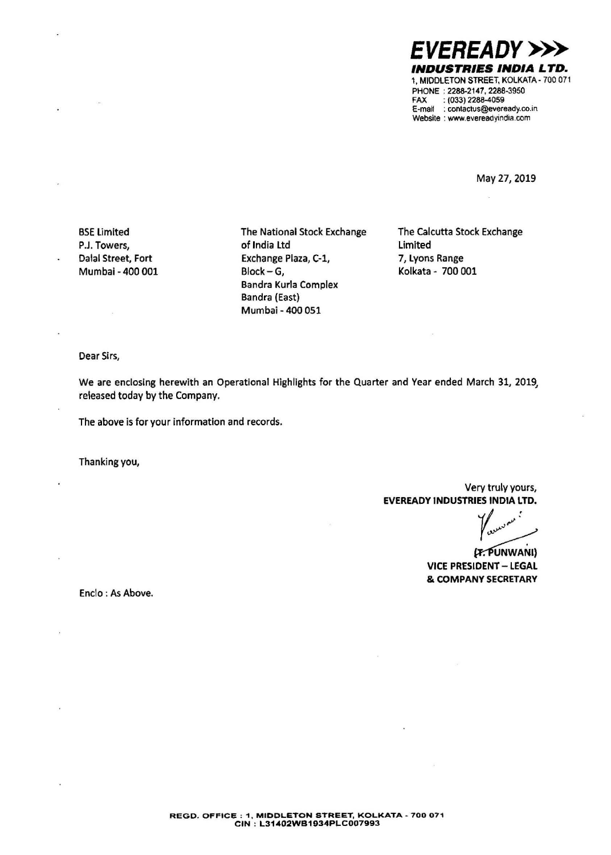*EVEREADY>>>*  **INDUSTRIES INDIA LTD.**  1, MIDDLETON STREET, KOLKATA· 700 071 PHONE : 2288-2147, 2288-3950 FAX : (033) 2288-4059 E-mail : contactus@eveready.co.in Website : www.evereadyindia.com

May 27, 2019

BSE Limited P.J. Towers, Dalal Street, Fort Mumbai - 400 001 The National Stock Exchange of India Ltd Exchange Plaza, C-1, Block-G, Bandra Kurla Complex Bandra (East) Mumbai - 400 051

The Calcutta Stock Exchange Limited 7, Lyons **Range Kolkata** - 700 001

Dear Sirs,

We are enclosing herewith an Operational Highlights for the Quarter and Year ended March 31, 2019. released today by the Company.

The above is for your information and records.

Thanking you,

Very truly yours, **EVEREADY INDUSTRIES INDIA LTD.** 

*y ..,.,.,,....,,.,,.:*  Y<sub>ounce</sub><br>(F. PUNWANI)<br>IDENT – LEGAL

**VICE PRESIDENT - LEGAL** & **COMPANY SECRETARY** 

Enclo : As Above.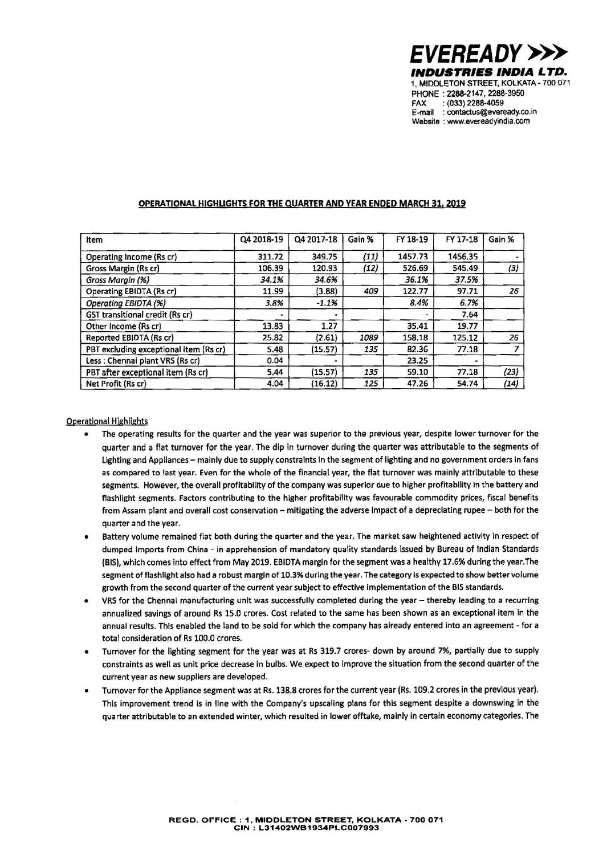

## **OPERATIONAL HIGHLIGHTS FOR THE QUARTER AND YEAR ENDED MARCH 31, 2019**

| Item                                   | Q4 2018-19 | Q4 2017-18 | Gain % | FY 18-19 | FY 17-18 | Gain % |
|----------------------------------------|------------|------------|--------|----------|----------|--------|
| Operating Income (Rs cr)               | 311.72     | 349.75     | (11)   | 1457.73  | 1456.35  |        |
| Gross Margin (Rs cr)                   | 106.39     | 120.93     | (12)   | 526.69   | 545.49   | (3)    |
| Gross Margin (%)                       | 34.1%      | 34.6%      |        | 36.1%    | 37.5%    |        |
| Operating EBIDTA (Rs cr)               | 11.99      | (3.88)     | 409    | 122.77   | 97.71    | 26     |
| Operating EBIDTA (%)                   | 3.8%       | $-1.1%$    |        | 8.4%     | 6.7%     |        |
| GST transitional credit (Rs cr)        |            |            |        |          | 7.64     |        |
| Other Income (Rs cr)                   | 13.83      | 1.27       |        | 35.41    | 19.77    |        |
| Reported EBIDTA (Rs cr)                | 25.82      | (2.61)     | 1089   | 158.18   | 125.12   | 26     |
| PBT excluding exceptional item (Rs cr) | 5.48       | (15.57)    | 135    | 82.36    | 77.18    |        |
| Less: Chennai plant VRS (Rs cr)        | 0.04       |            |        | 23.25    |          |        |
| PBT after exceptional item (Rs cr)     | 5.44       | (15.57)    | 135    | 59.10    | 77.18    | (23)   |
| Net Profit (Rs cr)                     | 4.04       | (16.12)    | 125    | 47.26    | 54.74    | (14)   |

## Operational Hjghlights

- The operating results for the quarter and the year was superior to the previous year, despite lower turnover for the quarter and a flat turnover for the year. The dip in turnover during the quarter was attributable to the segments of Lighting and Appliances - mainly due to supply constraints in the segment of lighting and no government orders in fans as compared to last year. Even for the whole of the financial year, the flat turnover was mainly attributable to these segments. However, the overall profitablilty of the company was superior due to higher profitability in the battery and flashlight segments. Factors contributing to the higher profitability was favourable commodity prices, fiscal benefits from Assam plant and overall cost conservation - mitigating the adverse impact of a depreciating rupee - both for the quarter and the year.
- Battery volume remained flat both during the quarter and the year. The market saw heightened activity in respect of dumped imports from China - in apprehension of mandatory quality standards issued by Bureau of Indian Standards (BIS), which comes into effect from May 2019. EBIDTA margin for the segment was a healthy 17.6% during the year.The segment of flashlight also had a robust margin of 10.3% during the year. The category is expected to show better volume growth from the second quarter of the current year subject to effective implementation of the BIS standards.
- VRS for the Chennai manufacturing unit was successfully completed during the year thereby leading to a recurring annualized savings of around Rs 15.0 crores. Cost related to the same has been shown as an exceptional item in the annual results. This enabled the land to be sold for which the company has already entered into an agreement - for a total consideration of Rs 100.0 crores.
- Turnover for the lighting segment for the year was at Rs 319.7 crores- down by around 7%, partially due to supply constraints as well as unit price decrease in bulbs. We expect to improve the situation from the second quarter of the current year as new suppliers are developed.
- Turnover for the Appliance segment was at Rs. 138.8 crores for the current year (Rs. 109.2 crores in the previous year). This improvement trend is in line with the Company's upscaling plans for this segment despite a downswing in the quarter attributable to an extended winter, which resulted in lower offtake, mainly in certain economy categories. The